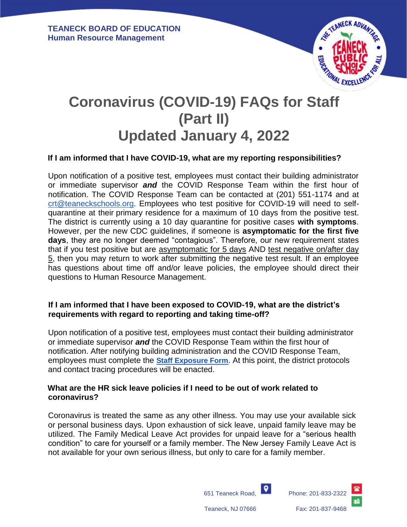

# **Coronavirus (COVID-19) FAQs for Staff (Part II) Updated January 4, 2022**

# **If I am informed that I have COVID-19, what are my reporting responsibilities?**

Upon notification of a positive test, employees must contact their building administrator or immediate supervisor *and* the COVID Response Team within the first hour of notification. The COVID Response Team can be contacted at (201) 551-1174 and at [crt@teaneckschools.org.](mailto:crt@teaneckschools.org) Employees who test positive for COVID-19 will need to selfquarantine at their primary residence for a maximum of 10 days from the positive test. The district is currently using a 10 day quarantine for positive cases **with symptoms**. However, per the new CDC guidelines, if someone is **asymptomatic for the first five days**, they are no longer deemed "contagious". Therefore, our new requirement states that if you test positive but are asymptomatic for 5 days AND test negative on/after day 5, then you may return to work after submitting the negative test result. If an employee has questions about time off and/or leave policies, the employee should direct their questions to Human Resource Management.

#### **If I am informed that I have been exposed to COVID-19, what are the district's requirements with regard to reporting and taking time-off?**

Upon notification of a positive test, employees must contact their building administrator or immediate supervisor *and* the COVID Response Team within the first hour of notification. After notifying building administration and the COVID Response Team, employees must complete the **[Staff Exposure Form](https://docs.google.com/forms/d/e/1FAIpQLSf3Tw9EmIo9rK3gvrbeqCq3urwVEhcSsHN-_PXZFcHcbd1adA/viewform)**. At this point, the district protocols and contact tracing procedures will be enacted.

#### **What are the HR sick leave policies if I need to be out of work related to coronavirus?**

Coronavirus is treated the same as any other illness. You may use your available sick or personal business days. Upon exhaustion of sick leave, unpaid family leave may be utilized. The Family Medical Leave Act provides for unpaid leave for a "serious health condition" to care for yourself or a family member. The New Jersey Family Leave Act is not available for your own serious illness, but only to care for a family member.

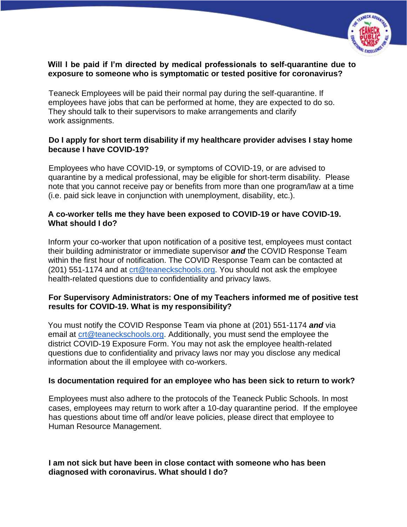

# **Will I be paid if I'm directed by medical professionals to self-quarantine due to exposure to someone who is symptomatic or tested positive for coronavirus?**

Teaneck Employees will be paid their normal pay during the self-quarantine. If employees have jobs that can be performed at home, they are expected to do so. They should talk to their supervisors to make arrangements and clarify work assignments.

# **Do I apply for short term disability if my healthcare provider advises I stay home because I have COVID-19?**

Employees who have COVID-19, or symptoms of COVID-19, or are advised to quarantine by a medical professional, may be eligible for short-term disability. Please note that you cannot receive pay or benefits from more than one program/law at a time (i.e. paid sick leave in conjunction with unemployment, disability, etc.).

## **A co-worker tells me they have been exposed to COVID-19 or have COVID-19. What should I do?**

Inform your co-worker that upon notification of a positive test, employees must contact their building administrator or immediate supervisor *and* the COVID Response Team within the first hour of notification. The COVID Response Team can be contacted at (201) 551-1174 and at [crt@teaneckschools.org.](mailto:crt@teaneckschools.org) You should not ask the employee health-related questions due to confidentiality and privacy laws.

# **For Supervisory Administrators: One of my Teachers informed me of positive test results for COVID-19. What is my responsibility?**

You must notify the COVID Response Team via phone at (201) 551-1174 *and* via email at [crt@teaneckschools.org.](mailto:crt@teaneckschools.org) Additionally, you must send the employee the district COVID-19 Exposure Form. You may not ask the employee health-related questions due to confidentiality and privacy laws nor may you disclose any medical information about the ill employee with co-workers.

#### **Is documentation required for an employee who has been sick to return to work?**

Employees must also adhere to the protocols of the Teaneck Public Schools. In most cases, employees may return to work after a 10-day quarantine period. If the employee has questions about time off and/or leave policies, please direct that employee to Human Resource Management.

**I am not sick but have been in close contact with someone who has been diagnosed with coronavirus. What should I do?**